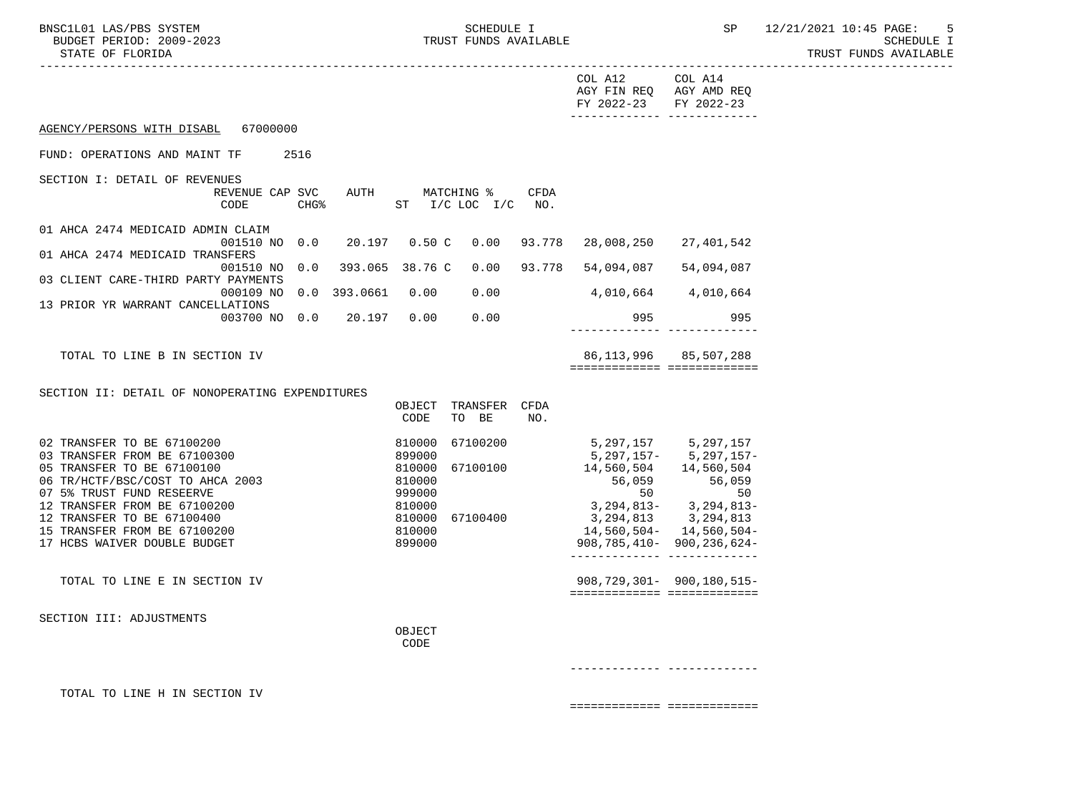BNSC1L01 LAS/PBS SYSTEM SOME SOMEDULE I SCHEDULE I SEREDULE I SP 12/21/2021 10:45 PAGE: 5<br>BUDGET PERIOD: 2009–2023 SCHEDULE I SCHEDULE I

TRUST FUNDS AVAILABLE

| PIAIR OF LIOKIDA                                                                                                                                                                                                                                                                        |                             |                  |                 |                                                                                        |                                  |             |                                                                                                                              |                                                                                                       | IKOPI LOMDP HANTTHRIN |
|-----------------------------------------------------------------------------------------------------------------------------------------------------------------------------------------------------------------------------------------------------------------------------------------|-----------------------------|------------------|-----------------|----------------------------------------------------------------------------------------|----------------------------------|-------------|------------------------------------------------------------------------------------------------------------------------------|-------------------------------------------------------------------------------------------------------|-----------------------|
|                                                                                                                                                                                                                                                                                         |                             |                  |                 |                                                                                        |                                  |             | COL A12<br>AGY FIN REQ AGY AMD REQ<br>FY 2022-23 FY 2022-23<br>_________________________________                             | COL A14                                                                                               |                       |
| AGENCY/PERSONS WITH DISABL                                                                                                                                                                                                                                                              | 67000000                    |                  |                 |                                                                                        |                                  |             |                                                                                                                              |                                                                                                       |                       |
| FUND: OPERATIONS AND MAINT TF                                                                                                                                                                                                                                                           |                             | 2516             |                 |                                                                                        |                                  |             |                                                                                                                              |                                                                                                       |                       |
| SECTION I: DETAIL OF REVENUES                                                                                                                                                                                                                                                           | REVENUE CAP SVC<br>CODE     | CHG <sup>8</sup> | AUTH            |                                                                                        | MATCHING %<br>ST I/C LOC I/C NO. | <b>CFDA</b> |                                                                                                                              |                                                                                                       |                       |
| 01 AHCA 2474 MEDICAID ADMIN CLAIM                                                                                                                                                                                                                                                       | 001510 NO 0.0 20.197 0.50 C |                  |                 |                                                                                        | 0.00                             | 93.778      | 28,008,250                                                                                                                   | 27,401,542                                                                                            |                       |
| 01 AHCA 2474 MEDICAID TRANSFERS                                                                                                                                                                                                                                                         | 001510 NO 0.0               |                  | 393.065 38.76 C |                                                                                        | 0.00                             | 93.778      | 54,094,087                                                                                                                   | 54,094,087                                                                                            |                       |
| 03 CLIENT CARE-THIRD PARTY PAYMENTS                                                                                                                                                                                                                                                     |                             |                  |                 |                                                                                        |                                  |             |                                                                                                                              |                                                                                                       |                       |
| 13 PRIOR YR WARRANT CANCELLATIONS                                                                                                                                                                                                                                                       | 000109 NO 0.0 393.0661      |                  |                 | 0.00                                                                                   | 0.00                             |             | 4,010,664                                                                                                                    | 4,010,664                                                                                             |                       |
|                                                                                                                                                                                                                                                                                         | 003700 NO 0.0               |                  | 20.197          | 0.00                                                                                   | 0.00                             |             | 995<br>_________________________________                                                                                     | 995                                                                                                   |                       |
| TOTAL TO LINE B IN SECTION IV                                                                                                                                                                                                                                                           |                             |                  |                 |                                                                                        |                                  |             | ============================                                                                                                 | 86, 113, 996 85, 507, 288                                                                             |                       |
| SECTION II: DETAIL OF NONOPERATING EXPENDITURES                                                                                                                                                                                                                                         |                             |                  |                 | CODE                                                                                   | OBJECT TRANSFER CFDA<br>TO BE    | NO.         |                                                                                                                              |                                                                                                       |                       |
| 02 TRANSFER TO BE 67100200<br>03 TRANSFER FROM BE 67100300<br>05 TRANSFER TO BE 67100100<br>06 TR/HCTF/BSC/COST TO AHCA 2003<br>07 5% TRUST FUND RESEERVE<br>12 TRANSFER FROM BE 67100200<br>12 TRANSFER TO BE 67100400<br>15 TRANSFER FROM BE 67100200<br>17 HCBS WAIVER DOUBLE BUDGET |                             |                  |                 | 810000<br>899000<br>810000<br>810000<br>999000<br>810000<br>810000<br>810000<br>899000 | 67100200<br>67100100<br>67100400 |             | 5, 297, 157 5, 297, 157<br>14,560,504 14,560,504<br>56,059<br>50<br>$3, 294, 813 - 3, 294, 813 -$<br>14,560,504- 14,560,504- | 5,297,157- 5,297,157-<br>56,059<br>50<br>3, 294, 813 3, 294, 813<br>$908, 785, 410 - 900, 236, 624 -$ |                       |
| TOTAL TO LINE E IN SECTION IV                                                                                                                                                                                                                                                           |                             |                  |                 |                                                                                        |                                  |             | ============================                                                                                                 | 908,729,301- 900,180,515-                                                                             |                       |
| SECTION III: ADJUSTMENTS                                                                                                                                                                                                                                                                |                             |                  |                 | OBJECT<br>CODE                                                                         |                                  |             |                                                                                                                              |                                                                                                       |                       |
|                                                                                                                                                                                                                                                                                         |                             |                  |                 |                                                                                        |                                  |             |                                                                                                                              | ----------------------------                                                                          |                       |
| TOTAL TO LINE H IN SECTION IV                                                                                                                                                                                                                                                           |                             |                  |                 |                                                                                        |                                  |             | ============================                                                                                                 |                                                                                                       |                       |